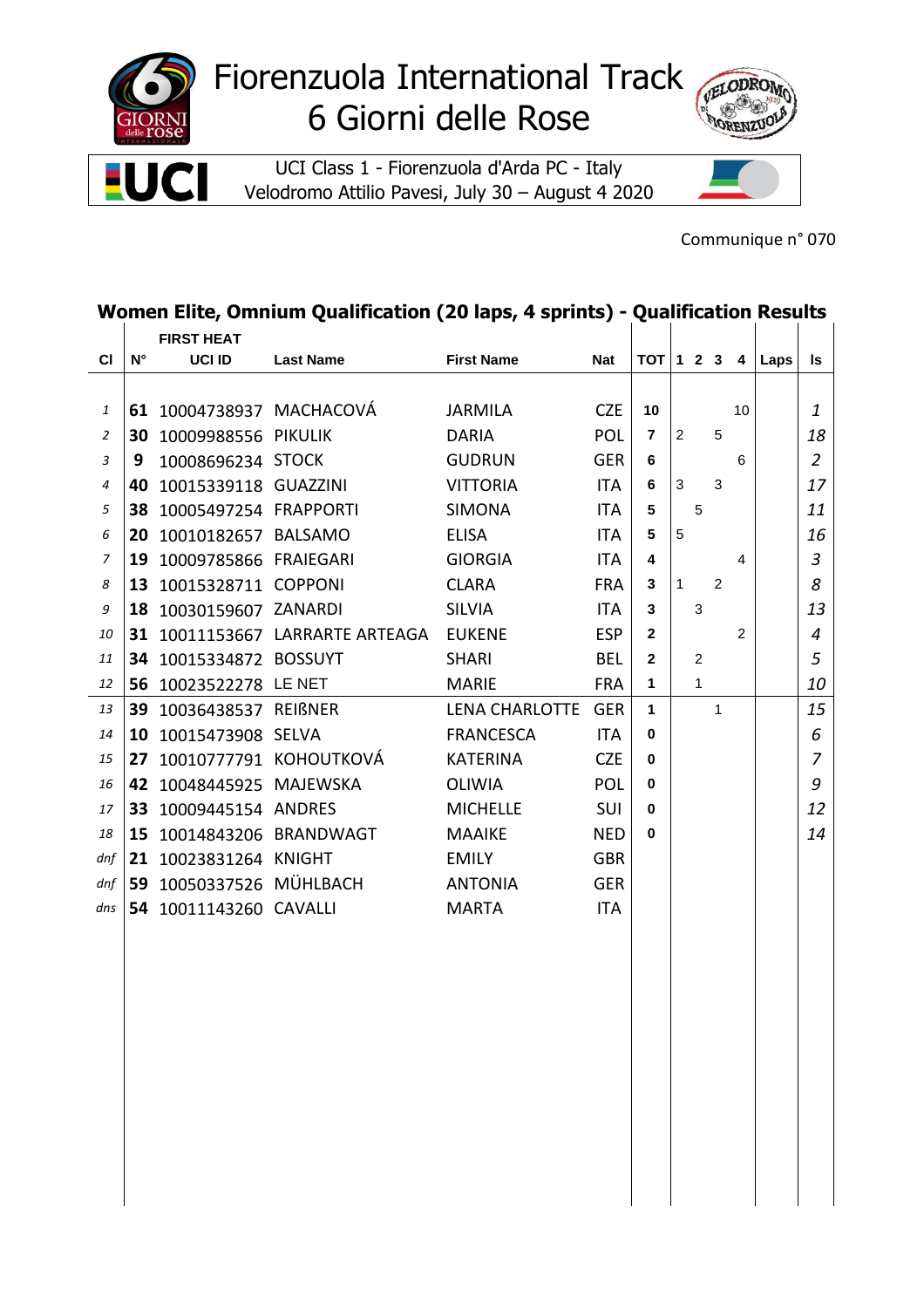

UCI

Е

## Fiorenzuola International Track 6 Giorni delle Rose

UCI Class 1 - Fiorenzuola d'Arda PC - Italy Velodromo Attilio Pavesi, July 30 – August 4 2020



Communique n° 070

## **Women Elite, Omnium Qualification (20 laps, 4 sprints) - Qualification Results**

|                |             | <b>FIRST HEAT</b>        |                                 |                       |            |                 |                |                |   |                |      |                |
|----------------|-------------|--------------------------|---------------------------------|-----------------------|------------|-----------------|----------------|----------------|---|----------------|------|----------------|
| <b>CI</b>      | $N^{\circ}$ | UCI ID                   | <b>Last Name</b>                | <b>First Name</b>     | <b>Nat</b> | $TOT$ 1 2 3     |                |                |   | 4              | Laps | ls             |
|                |             |                          |                                 |                       |            |                 |                |                |   |                |      |                |
| 1              |             | 61 10004738937 MACHACOVÁ |                                 | <b>JARMILA</b>        | <b>CZE</b> | 10              |                |                |   | 10             |      | 1              |
| $\overline{2}$ |             | 30 10009988556 PIKULIK   |                                 | <b>DARIA</b>          | <b>POL</b> | 7               | $\overline{2}$ |                | 5 |                |      | 18             |
| 3              | 9           | 10008696234 STOCK        |                                 | <b>GUDRUN</b>         | <b>GER</b> | 6               |                |                |   | 6              |      | $\overline{2}$ |
| 4              | 40          | 10015339118 GUAZZINI     |                                 | <b>VITTORIA</b>       | ITA        | 6               | $\mathbf{3}$   |                | 3 |                |      | 17             |
| 5              |             | 38 10005497254 FRAPPORTI |                                 | <b>SIMONA</b>         | ITA        | 5               |                | 5              |   |                |      | 11             |
| 6              |             | 20 10010182657 BALSAMO   |                                 | <b>ELISA</b>          | ITA        | $5\phantom{.0}$ | 5              |                |   |                |      | 16             |
| 7              | 19          | 10009785866 FRAIEGARI    |                                 | <b>GIORGIA</b>        | <b>ITA</b> | 4               |                |                |   | 4              |      | $\mathfrak{Z}$ |
| 8              |             | 13 10015328711 COPPONI   |                                 | <b>CLARA</b>          | <b>FRA</b> | 3               | 1              |                | 2 |                |      | 8              |
| 9              |             | 18 10030159607 ZANARDI   |                                 | <b>SILVIA</b>         | <b>ITA</b> | 3               |                | 3              |   |                |      | 13             |
| 10             |             |                          | 31 10011153667 LARRARTE ARTEAGA | <b>EUKENE</b>         | <b>ESP</b> | $\mathbf{2}$    |                |                |   | $\overline{2}$ |      | $\overline{4}$ |
| 11             |             | 34 10015334872 BOSSUYT   |                                 | <b>SHARI</b>          | <b>BEL</b> | $\mathbf{2}$    |                | $\overline{c}$ |   |                |      | 5              |
| 12             |             | 56 10023522278 LE NET    |                                 | <b>MARIE</b>          | <b>FRA</b> | $\mathbf{1}$    |                | $\mathbf{1}$   |   |                |      | 10             |
| 13             |             | 39 10036438537 REIßNER   |                                 | <b>LENA CHARLOTTE</b> | <b>GER</b> | 1               |                |                | 1 |                |      | 15             |
| 14             |             | 10 10015473908 SELVA     |                                 | <b>FRANCESCA</b>      | ITA        | 0               |                |                |   |                |      | 6              |
| 15             | 27          |                          | 10010777791 KOHOUTKOVÁ          | <b>KATERINA</b>       | <b>CZE</b> | 0               |                |                |   |                |      | $\overline{7}$ |
| 16             |             | 42 10048445925 MAJEWSKA  |                                 | <b>OLIWIA</b>         | <b>POL</b> | 0               |                |                |   |                |      | 9              |
| 17             |             | 33 10009445154 ANDRES    |                                 | <b>MICHELLE</b>       | SUI        | 0               |                |                |   |                |      | 12             |
| 18             |             | 15 10014843206 BRANDWAGT |                                 | <b>MAAIKE</b>         | <b>NED</b> | 0               |                |                |   |                |      | 14             |
| dnf            |             | 21 10023831264 KNIGHT    |                                 | <b>EMILY</b>          | <b>GBR</b> |                 |                |                |   |                |      |                |
| dnf            |             | 59 10050337526 MÜHLBACH  |                                 | <b>ANTONIA</b>        | <b>GER</b> |                 |                |                |   |                |      |                |
| dns            | 54          | 10011143260 CAVALLI      |                                 | <b>MARTA</b>          | <b>ITA</b> |                 |                |                |   |                |      |                |
|                |             |                          |                                 |                       |            |                 |                |                |   |                |      |                |
|                |             |                          |                                 |                       |            |                 |                |                |   |                |      |                |
|                |             |                          |                                 |                       |            |                 |                |                |   |                |      |                |
|                |             |                          |                                 |                       |            |                 |                |                |   |                |      |                |
|                |             |                          |                                 |                       |            |                 |                |                |   |                |      |                |
|                |             |                          |                                 |                       |            |                 |                |                |   |                |      |                |
|                |             |                          |                                 |                       |            |                 |                |                |   |                |      |                |
|                |             |                          |                                 |                       |            |                 |                |                |   |                |      |                |
|                |             |                          |                                 |                       |            |                 |                |                |   |                |      |                |
|                |             |                          |                                 |                       |            |                 |                |                |   |                |      |                |
|                |             |                          |                                 |                       |            |                 |                |                |   |                |      |                |
|                |             |                          |                                 |                       |            |                 |                |                |   |                |      |                |